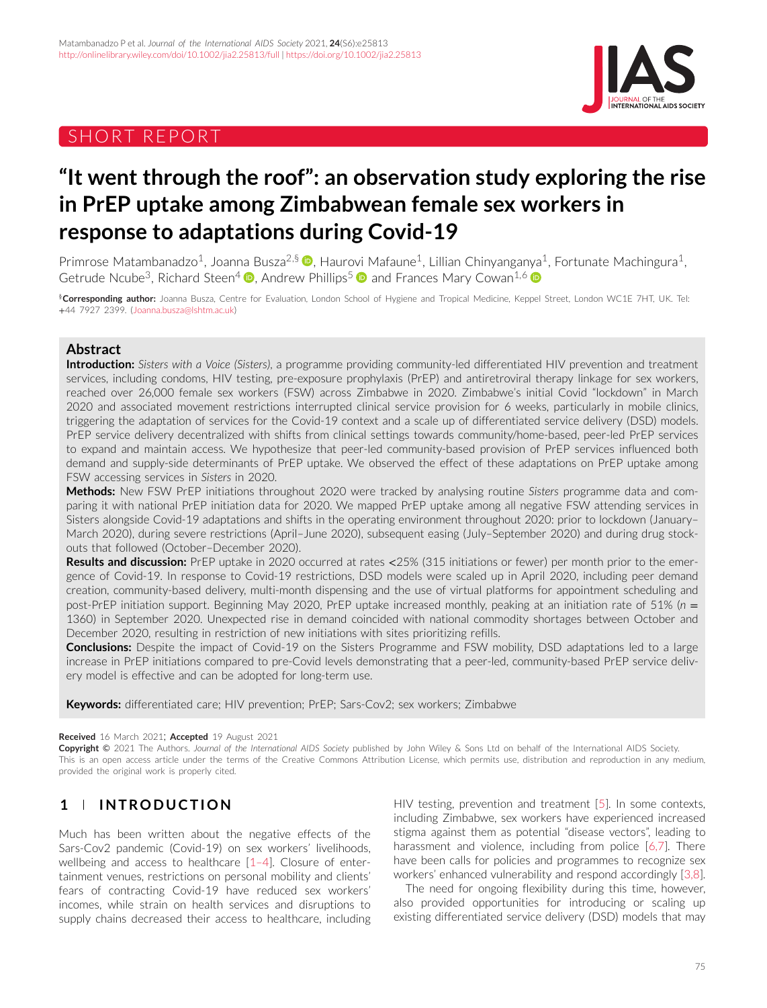# SHORT REPORT



# **"It went through the roof": an observation study exploring the rise in PrEP uptake among Zimbabwean female sex workers in response to adaptations during Covid-19**

Primrose Matambanadzo<sup>1</sup>[,](https://orcid.org/0000-0001-6334-0318) Joanna Busza<sup>2,§</sup> **D**, Haurovi Mafaune<sup>1</sup>, Lillian Chinyanganya<sup>1</sup>, Fortunate Machingura<sup>1</sup>, Getrude Ncube<sup>3</sup>[,](https://orcid.org/0000-0002-0798-022X) Richard Steen<sup>4</sup>  $\Phi$ , Andrew Phillips<sup>5</sup>  $\Phi$  and Frances Mary Cowan<sup>1,6</sup>  $\Phi$ 

§**Corresponding author:** Joanna Busza, Centre for Evaluation, London School of Hygiene and Tropical Medicine, Keppel Street, London WC1E 7HT, UK. Tel: +44 7927 2399. [\(Joanna.busza@lshtm.ac.uk\)](mailto:Joanna.busza@lshtm.ac.uk)

### **Abstract**

**Introduction:** *Sisters with a Voice (Sisters)*, a programme providing community-led differentiated HIV prevention and treatment services, including condoms, HIV testing, pre-exposure prophylaxis (PrEP) and antiretroviral therapy linkage for sex workers, reached over 26,000 female sex workers (FSW) across Zimbabwe in 2020. Zimbabwe's initial Covid "lockdown" in March 2020 and associated movement restrictions interrupted clinical service provision for 6 weeks, particularly in mobile clinics, triggering the adaptation of services for the Covid-19 context and a scale up of differentiated service delivery (DSD) models. PrEP service delivery decentralized with shifts from clinical settings towards community/home-based, peer-led PrEP services to expand and maintain access. We hypothesize that peer-led community-based provision of PrEP services influenced both demand and supply-side determinants of PrEP uptake. We observed the effect of these adaptations on PrEP uptake among FSW accessing services in *Sisters* in 2020.

**Methods:** New FSW PrEP initiations throughout 2020 were tracked by analysing routine *Sisters* programme data and comparing it with national PrEP initiation data for 2020. We mapped PrEP uptake among all negative FSW attending services in Sisters alongside Covid-19 adaptations and shifts in the operating environment throughout 2020: prior to lockdown (January– March 2020), during severe restrictions (April–June 2020), subsequent easing (July–September 2020) and during drug stockouts that followed (October–December 2020).

**Results and discussion:** PrEP uptake in 2020 occurred at rates *<*25% (315 initiations or fewer) per month prior to the emergence of Covid-19. In response to Covid-19 restrictions, DSD models were scaled up in April 2020, including peer demand creation, community-based delivery, multi-month dispensing and the use of virtual platforms for appointment scheduling and post-PrEP initiation support. Beginning May 2020, PrEP uptake increased monthly, peaking at an initiation rate of 51% (*n* = 1360) in September 2020. Unexpected rise in demand coincided with national commodity shortages between October and December 2020, resulting in restriction of new initiations with sites prioritizing refills.

**Conclusions:** Despite the impact of Covid-19 on the Sisters Programme and FSW mobility, DSD adaptations led to a large increase in PrEP initiations compared to pre-Covid levels demonstrating that a peer-led, community-based PrEP service delivery model is effective and can be adopted for long-term use.

**Keywords:** differentiated care; HIV prevention; PrEP; Sars-Cov2; sex workers; Zimbabwe

#### **Received** 16 March 2021; **Accepted** 19 August 2021

**Copyright** © 2021 The Authors. *Journal of the International AIDS Society* published by John Wiley & Sons Ltd on behalf of the International AIDS Society. This is an open access article under the terms of the [Creative Commons Attribution](http://creativecommons.org/licenses/by/4.0/) License, which permits use, distribution and reproduction in any medium, provided the original work is properly cited.

# **1 INTRODUCTION**

Much has been written about the negative effects of the Sars-Cov2 pandemic (Covid-19) on sex workers' livelihoods, wellbeing and access to healthcare [\[1–4\]](#page-4-0). Closure of entertainment venues, restrictions on personal mobility and clients' fears of contracting Covid-19 have reduced sex workers' incomes, while strain on health services and disruptions to supply chains decreased their access to healthcare, including HIV testing, prevention and treatment [\[5\]](#page-4-0). In some contexts, including Zimbabwe, sex workers have experienced increased stigma against them as potential "disease vectors", leading to harassment and violence, including from police [\[6,7\]](#page-4-0). There have been calls for policies and programmes to recognize sex workers' enhanced vulnerability and respond accordingly [\[3,8\]](#page-4-0).

The need for ongoing flexibility during this time, however, also provided opportunities for introducing or scaling up existing differentiated service delivery (DSD) models that may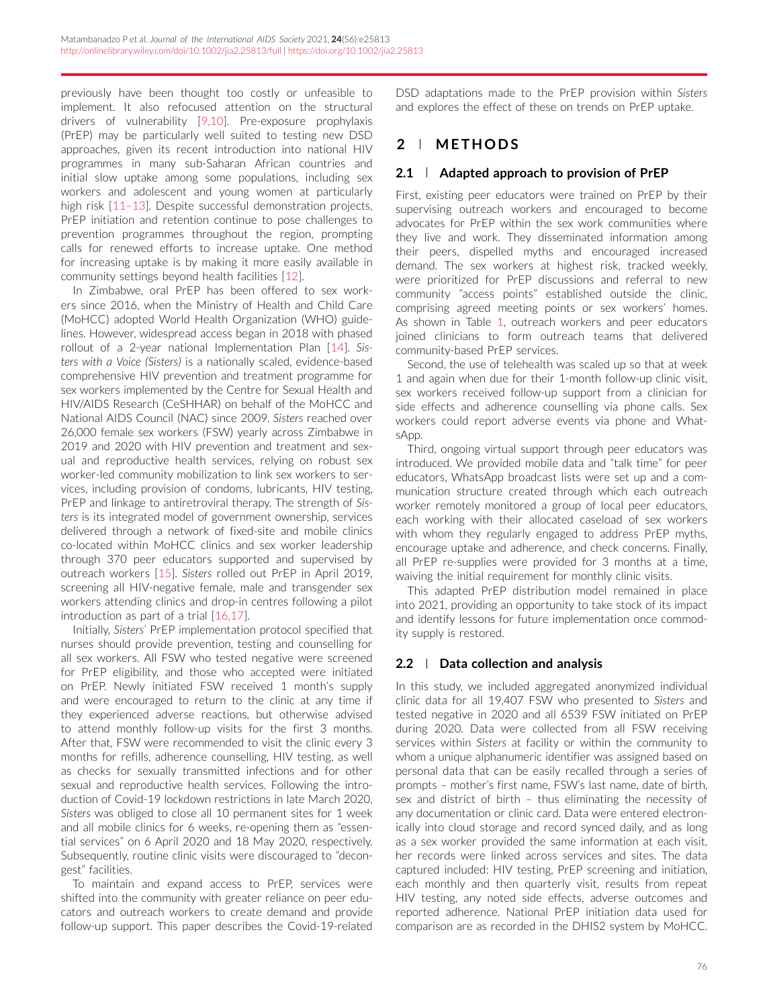previously have been thought too costly or unfeasible to implement. It also refocused attention on the structural drivers of vulnerability [\[9,10\]](#page-4-0). Pre-exposure prophylaxis (PrEP) may be particularly well suited to testing new DSD approaches, given its recent introduction into national HIV programmes in many sub-Saharan African countries and initial slow uptake among some populations, including sex workers and adolescent and young women at particularly high risk [11-13]. Despite successful demonstration projects, PrEP initiation and retention continue to pose challenges to prevention programmes throughout the region, prompting calls for renewed efforts to increase uptake. One method for increasing uptake is by making it more easily available in community settings beyond health facilities [\[12\]](#page-4-0).

In Zimbabwe, oral PrEP has been offered to sex workers since 2016, when the Ministry of Health and Child Care (MoHCC) adopted World Health Organization (WHO) guidelines. However, widespread access began in 2018 with phased rollout of a 2-year national Implementation Plan [\[14\]](#page-4-0). *Sisters with a Voice (Sisters)* is a nationally scaled, evidence-based comprehensive HIV prevention and treatment programme for sex workers implemented by the Centre for Sexual Health and HIV/AIDS Research (CeSHHAR) on behalf of the MoHCC and National AIDS Council (NAC) since 2009. *Sisters* reached over 26,000 female sex workers (FSW) yearly across Zimbabwe in 2019 and 2020 with HIV prevention and treatment and sexual and reproductive health services, relying on robust sex worker-led community mobilization to link sex workers to services, including provision of condoms, lubricants, HIV testing, PrEP and linkage to antiretroviral therapy. The strength of *Sisters* is its integrated model of government ownership, services delivered through a network of fixed-site and mobile clinics co-located within MoHCC clinics and sex worker leadership through 370 peer educators supported and supervised by outreach workers [\[15\]](#page-4-0). *Sisters* rolled out PrEP in April 2019, screening all HIV-negative female, male and transgender sex workers attending clinics and drop-in centres following a pilot introduction as part of a trial [\[16,17\]](#page-4-0).

Initially, *Sisters'* PrEP implementation protocol specified that nurses should provide prevention, testing and counselling for all sex workers. All FSW who tested negative were screened for PrEP eligibility, and those who accepted were initiated on PrEP. Newly initiated FSW received 1 month's supply and were encouraged to return to the clinic at any time if they experienced adverse reactions, but otherwise advised to attend monthly follow-up visits for the first 3 months. After that, FSW were recommended to visit the clinic every 3 months for refills, adherence counselling, HIV testing, as well as checks for sexually transmitted infections and for other sexual and reproductive health services. Following the introduction of Covid-19 lockdown restrictions in late March 2020, *Sisters* was obliged to close all 10 permanent sites for 1 week and all mobile clinics for 6 weeks, re-opening them as "essential services" on 6 April 2020 and 18 May 2020, respectively. Subsequently, routine clinic visits were discouraged to "decongest" facilities.

To maintain and expand access to PrEP, services were shifted into the community with greater reliance on peer educators and outreach workers to create demand and provide follow-up support. This paper describes the Covid-19-related DSD adaptations made to the PrEP provision within *Sisters* and explores the effect of these on trends on PrEP uptake.

# **2 METHODS**

### **2.1 Adapted approach to provision of PrEP**

First, existing peer educators were trained on PrEP by their supervising outreach workers and encouraged to become advocates for PrEP within the sex work communities where they live and work. They disseminated information among their peers, dispelled myths and encouraged increased demand. The sex workers at highest risk, tracked weekly, were prioritized for PrEP discussions and referral to new community "access points" established outside the clinic, comprising agreed meeting points or sex workers' homes. As shown in Table [1,](#page-2-0) outreach workers and peer educators joined clinicians to form outreach teams that delivered community-based PrEP services.

Second, the use of telehealth was scaled up so that at week 1 and again when due for their 1-month follow-up clinic visit, sex workers received follow-up support from a clinician for side effects and adherence counselling via phone calls. Sex workers could report adverse events via phone and WhatsApp.

Third, ongoing virtual support through peer educators was introduced. We provided mobile data and "talk time" for peer educators, WhatsApp broadcast lists were set up and a communication structure created through which each outreach worker remotely monitored a group of local peer educators, each working with their allocated caseload of sex workers with whom they regularly engaged to address PrEP myths, encourage uptake and adherence, and check concerns. Finally, all PrEP re-supplies were provided for 3 months at a time, waiving the initial requirement for monthly clinic visits.

This adapted PrEP distribution model remained in place into 2021, providing an opportunity to take stock of its impact and identify lessons for future implementation once commodity supply is restored.

### **2.2 Data collection and analysis**

In this study, we included aggregated anonymized individual clinic data for all 19,407 FSW who presented to *Sisters* and tested negative in 2020 and all 6539 FSW initiated on PrEP during 2020. Data were collected from all FSW receiving services within *Sisters* at facility or within the community to whom a unique alphanumeric identifier was assigned based on personal data that can be easily recalled through a series of prompts – mother's first name, FSW's last name, date of birth, sex and district of birth – thus eliminating the necessity of any documentation or clinic card. Data were entered electronically into cloud storage and record synced daily, and as long as a sex worker provided the same information at each visit, her records were linked across services and sites. The data captured included: HIV testing, PrEP screening and initiation, each monthly and then quarterly visit, results from repeat HIV testing, any noted side effects, adverse outcomes and reported adherence. National PrEP initiation data used for comparison are as recorded in the DHIS2 system by MoHCC.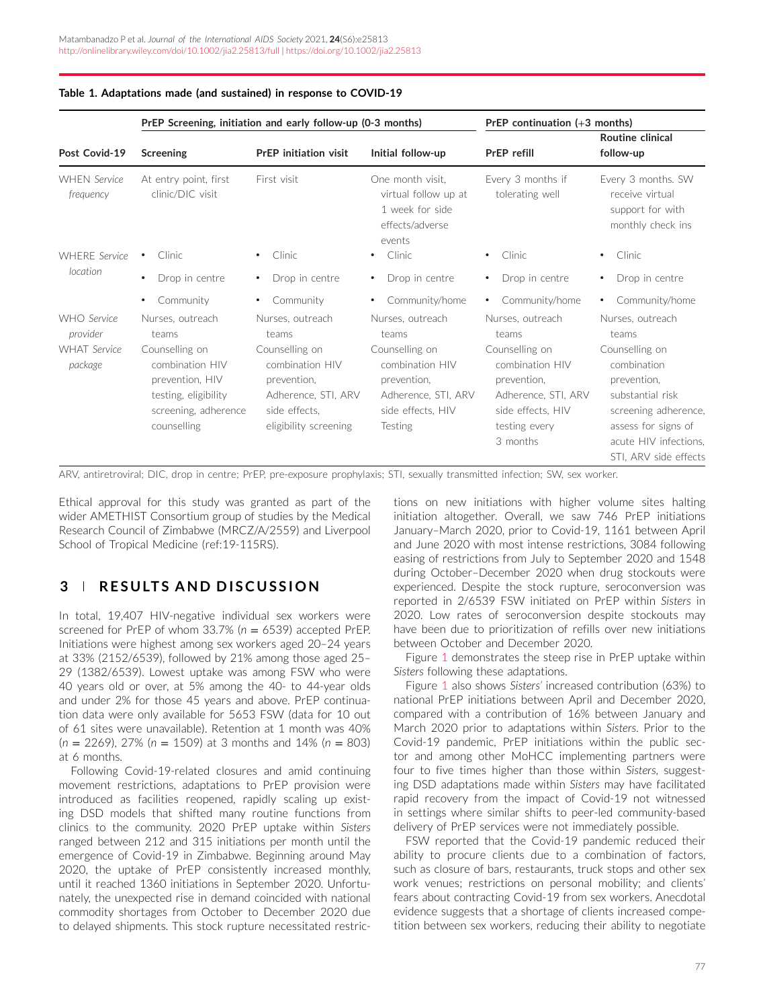<span id="page-2-0"></span>

| Table 1. Adaptations made (and sustained) in response to COVID-19 |  |  |
|-------------------------------------------------------------------|--|--|
|-------------------------------------------------------------------|--|--|

|                                                           | PrEP Screening, initiation and early follow-up (0-3 months)                                               |                                                                                                      | PrEP continuation (+3 months)                                                                        |                                                                                                      |                                                                                               |
|-----------------------------------------------------------|-----------------------------------------------------------------------------------------------------------|------------------------------------------------------------------------------------------------------|------------------------------------------------------------------------------------------------------|------------------------------------------------------------------------------------------------------|-----------------------------------------------------------------------------------------------|
| Post Covid-19                                             | <b>Screening</b>                                                                                          | <b>PrEP</b> initiation visit                                                                         | Initial follow-up                                                                                    | PrEP refill                                                                                          | <b>Routine clinical</b><br>follow-up                                                          |
| <b>WHEN Service</b><br>frequency                          | At entry point, first<br>clinic/DIC visit                                                                 | First visit                                                                                          | One month visit.<br>virtual follow up at<br>1 week for side<br>effects/adverse<br>events             | Every 3 months if<br>tolerating well                                                                 | Every 3 months. SW<br>receive virtual<br>support for with<br>monthly check ins                |
| <b>WHERE</b> Service<br>location                          | <b>Clinic</b>                                                                                             | Clinic<br>$\bullet$                                                                                  | Clinic<br>$\bullet$                                                                                  | Clinic<br>$\bullet$                                                                                  | Clinic.<br>$\bullet$                                                                          |
|                                                           | Drop in centre<br>$\bullet$                                                                               | Drop in centre<br>$\bullet$                                                                          | Drop in centre<br>$\bullet$                                                                          | Drop in centre<br>$\bullet$                                                                          | Drop in centre                                                                                |
|                                                           | Community                                                                                                 | Community<br>$\bullet$                                                                               | Community/home<br>$\bullet$                                                                          | Community/home<br>$\bullet$                                                                          | Community/home                                                                                |
| WHO Service<br>provider<br><b>WHAT</b> Service<br>package | Nurses, outreach<br>teams<br>Counselling on<br>combination HIV<br>prevention, HIV<br>testing, eligibility | Nurses, outreach<br>teams<br>Counselling on<br>combination HIV<br>prevention,<br>Adherence, STI, ARV | Nurses, outreach<br>teams<br>Counselling on<br>combination HIV<br>prevention,<br>Adherence, STI, ARV | Nurses, outreach<br>teams<br>Counselling on<br>combination HIV<br>prevention,<br>Adherence, STI, ARV | Nurses, outreach<br>teams<br>Counselling on<br>combination<br>prevention,<br>substantial risk |
|                                                           | screening, adherence<br>counselling                                                                       | side effects.<br>eligibility screening                                                               | side effects, HIV<br>Testing                                                                         | side effects, HIV<br>testing every<br>3 months                                                       | screening adherence,<br>assess for signs of<br>acute HIV infections.<br>STI. ARV side effects |

ARV, antiretroviral; DIC, drop in centre; PrEP, pre-exposure prophylaxis; STI, sexually transmitted infection; SW, sex worker.

Ethical approval for this study was granted as part of the wider AMETHIST Consortium group of studies by the Medical Research Council of Zimbabwe (MRCZ/A/2559) and Liverpool School of Tropical Medicine (ref:19-115RS).

# **3 RESULTS AND DISCUSSION**

In total, 19,407 HIV-negative individual sex workers were screened for PrEP of whom 33.7% (*n* = 6539) accepted PrEP. Initiations were highest among sex workers aged 20–24 years at 33% (2152/6539), followed by 21% among those aged 25– 29 (1382/6539). Lowest uptake was among FSW who were 40 years old or over, at 5% among the 40- to 44-year olds and under 2% for those 45 years and above. PrEP continuation data were only available for 5653 FSW (data for 10 out of 61 sites were unavailable). Retention at 1 month was 40% (*n* = 2269), 27% (*n* = 1509) at 3 months and 14% (*n* = 803) at 6 months.

Following Covid-19-related closures and amid continuing movement restrictions, adaptations to PrEP provision were introduced as facilities reopened, rapidly scaling up existing DSD models that shifted many routine functions from clinics to the community. 2020 PrEP uptake within *Sisters* ranged between 212 and 315 initiations per month until the emergence of Covid-19 in Zimbabwe. Beginning around May 2020, the uptake of PrEP consistently increased monthly, until it reached 1360 initiations in September 2020. Unfortunately, the unexpected rise in demand coincided with national commodity shortages from October to December 2020 due to delayed shipments. This stock rupture necessitated restrictions on new initiations with higher volume sites halting initiation altogether. Overall, we saw 746 PrEP initiations January–March 2020, prior to Covid-19, 1161 between April and June 2020 with most intense restrictions, 3084 following easing of restrictions from July to September 2020 and 1548 during October–December 2020 when drug stockouts were experienced. Despite the stock rupture, seroconversion was reported in 2/6539 FSW initiated on PrEP within *Sisters* in 2020. Low rates of seroconversion despite stockouts may have been due to prioritization of refills over new initiations between October and December 2020.

Figure [1](#page-3-0) demonstrates the steep rise in PrEP uptake within *Sisters* following these adaptations.

Figure [1](#page-3-0) also shows *Sisters'* increased contribution (63%) to national PrEP initiations between April and December 2020, compared with a contribution of 16% between January and March 2020 prior to adaptations within *Sisters*. Prior to the Covid-19 pandemic, PrEP initiations within the public sector and among other MoHCC implementing partners were four to five times higher than those within *Sisters*, suggesting DSD adaptations made within *Sisters* may have facilitated rapid recovery from the impact of Covid-19 not witnessed in settings where similar shifts to peer-led community-based delivery of PrEP services were not immediately possible.

FSW reported that the Covid-19 pandemic reduced their ability to procure clients due to a combination of factors, such as closure of bars, restaurants, truck stops and other sex work venues; restrictions on personal mobility; and clients' fears about contracting Covid-19 from sex workers. Anecdotal evidence suggests that a shortage of clients increased competition between sex workers, reducing their ability to negotiate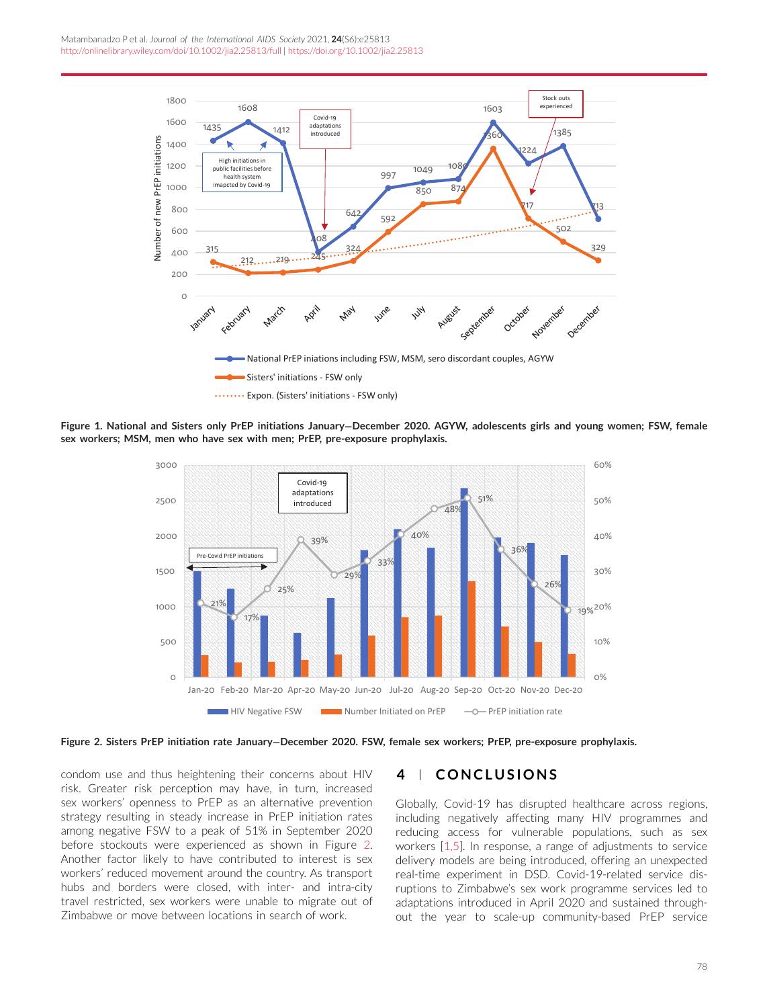<span id="page-3-0"></span>

**Figure 1. National and Sisters only PrEP initiations January−December 2020. AGYW, adolescents girls and young women; FSW, female sex workers; MSM, men who have sex with men; PrEP, pre-exposure prophylaxis.**



**Figure 2. Sisters PrEP initiation rate January−December 2020. FSW, female sex workers; PrEP, pre-exposure prophylaxis.**

condom use and thus heightening their concerns about HIV risk. Greater risk perception may have, in turn, increased sex workers' openness to PrEP as an alternative prevention strategy resulting in steady increase in PrEP initiation rates among negative FSW to a peak of 51% in September 2020 before stockouts were experienced as shown in Figure 2. Another factor likely to have contributed to interest is sex workers' reduced movement around the country. As transport hubs and borders were closed, with inter- and intra-city travel restricted, sex workers were unable to migrate out of Zimbabwe or move between locations in search of work.

### **4 CONCLUSIONS**

Globally, Covid-19 has disrupted healthcare across regions, including negatively affecting many HIV programmes and reducing access for vulnerable populations, such as sex workers [\[1,5\]](#page-4-0). In response, a range of adjustments to service delivery models are being introduced, offering an unexpected real-time experiment in DSD. Covid-19-related service disruptions to Zimbabwe's sex work programme services led to adaptations introduced in April 2020 and sustained throughout the year to scale-up community-based PrEP service